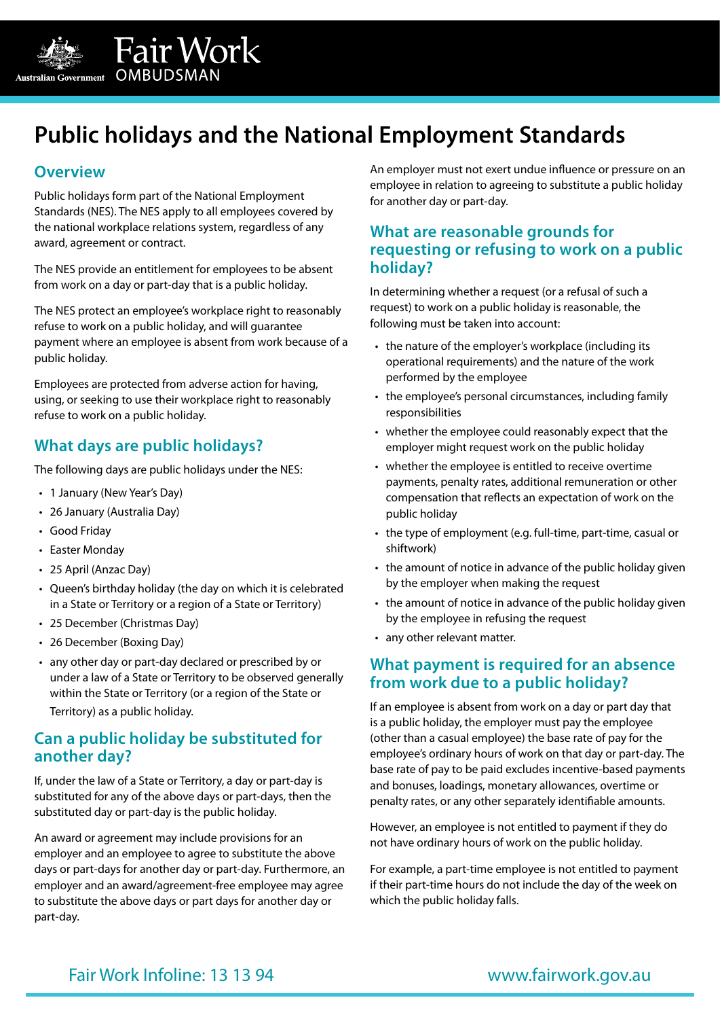

# **Public holidays and the National Employment Standards**

#### **Overview**

Public holidays form part of the National Employment Standards (NES). The NES apply to all employees covered by the national workplace relations system, regardless of any award, agreement or contract.

Fair Work

The NES provide an entitlement for employees to be absent from work on a day or part-day that is a public holiday.

The NES protect an employee's workplace right to reasonably refuse to work on a public holiday, and will guarantee payment where an employee is absent from work because of a public holiday.

Employees are protected from adverse action for having, using, or seeking to use their workplace right to reasonably refuse to work on a public holiday.

# **What days are public holidays?**

The following days are public holidays under the NES:

- 1 January (New Year's Day)
- 26 January (Australia Day)
- Good Friday
- Easter Monday
- 25 April (Anzac Day)
- Queen's birthday holiday (the day on which it is celebrated in a State or Territory or a region of a State or Territory)
- 25 December (Christmas Day)
- 26 December (Boxing Day)
- any other day or part-day declared or prescribed by or under a law of a State or Territory to be observed generally within the State or Territory (or a region of the State or Territory) as a public holiday.

# **Can a public holiday be substituted for another day?**

If, under the law of a State or Territory, a day or part-day is substituted for any of the above days or part-days, then the substituted day or part-day is the public holiday.

An award or agreement may include provisions for an employer and an employee to agree to substitute the above days or part-days for another day or part-day. Furthermore, an employer and an award/agreement-free employee may agree to substitute the above days or part days for another day or part-day.

An employer must not exert undue influence or pressure on an employee in relation to agreeing to substitute a public holiday for another day or part-day.

# **What are reasonable grounds for requesting or refusing to work on a public holiday?**

In determining whether a request (or a refusal of such a request) to work on a public holiday is reasonable, the following must be taken into account:

- the nature of the employer's workplace (including its operational requirements) and the nature of the work performed by the employee
- the employee's personal circumstances, including family responsibilities
- whether the employee could reasonably expect that the employer might request work on the public holiday
- whether the employee is entitled to receive overtime payments, penalty rates, additional remuneration or other compensation that reflects an expectation of work on the public holiday
- the type of employment (e.g. full-time, part-time, casual or shiftwork)
- the amount of notice in advance of the public holiday given by the employer when making the request
- the amount of notice in advance of the public holiday given by the employee in refusing the request
- any other relevant matter.

# **What payment is required for an absence from work due to a public holiday?**

If an employee is absent from work on a day or part day that is a public holiday, the employer must pay the employee (other than a casual employee) the base rate of pay for the employee's ordinary hours of work on that day or part-day. The base rate of pay to be paid excludes incentive-based payments and bonuses, loadings, monetary allowances, overtime or penalty rates, or any other separately identifiable amounts.

However, an employee is not entitled to payment if they do not have ordinary hours of work on the public holiday.

For example, a part-time employee is not entitled to payment if their part-time hours do not include the day of the week on which the public holiday falls.